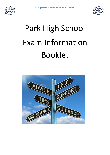



# Park High School Exam Information Booklet

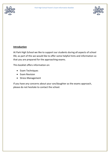



# **Introduction**

At Park High School we like to support our students during all aspects of school life; as part of this we would like to offer some helpful hints and information so that you are prepared for the approaching exams.

This booklet offers information on:

- Exam Techniques
- Exam Revision
- Stress Management

If you have any concerns about your son/daughter as the exams approach, please do not hesitate to contact the school.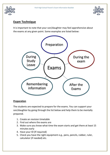



# Exam Technique

It is important to note that your son/daughter may feel apprehensive about the exams at any given point. Some examples are listed below:



## Preparation

The students are expected to prepare for the exams. You can support your son/daughter by going through the list below and help them to be mentally prepared.

- 1. Create an revision timetable
- 2. Find out where the exams are
- 3. Make sure you know what time the exam starts and get there at least 15 minutes early
- 4. Have your ID (If required)
- 5. Check you have the right equipment e.g., pens, pencils, rubber, ruler, calculator (if needed) etc.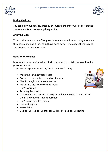



# During the Exam

You can help your son/daughter by encouraging them to write clear, precise answers and keep re-reading the question.

## After the Exam

Try to make sure your son/daughter does not waste time worrying about how they have done and if they could have done better. Encourage them to relax and prepare for the next exam.

## Revision Techniques

Making sure your son/daughter starts revision early, this helps to reduce the pressure later on.

Try to encourage your son/daughter to do the following:

- Make their own revision notes
- Condense their notes as much as they can
- Check the syllabus or ask a teacher
- Make sure they know the key topics
- Don't overdo it
- Take regular breaks
- Use a variety of revision techniques and find the one that works for them, a variety will reduce boredom
- Don't make pointless notes
- Use past papers
- Be confident
- Be Positive a positive attitude will result in a positive result!

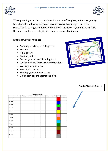



When planning a revision timetable with your son/daughter, make sure you try to include the following daily outlines and breaks. Encourage them to be realistic and set targets that you know they can achieve. If you think it will take them an hour to cover a topic, give them an extra 30 minutes.

Different ways of revising:

- Creating mind maps or diagrams
- Pictures
- Highlighters
- Creating notes
- Record yourself and listening to it
- Working where there are no distractions
- Working on your own
- Working in a group
- Reading your notes out loud
- Doing past papers against the clock

| LONGLEUM                                                                                                                                                                                   |
|--------------------------------------------------------------------------------------------------------------------------------------------------------------------------------------------|
| <b>CAN CAN</b><br><b>New Kingston</b><br>Basema.<br>ATLQNS                                                                                                                                 |
| Conservation<br>CHEMICAL<br>LIGHT<br>SQUIDED EOR<br><b>ATTENDED</b><br>LAB<br><b>ELECTRICIA</b><br><b>B</b> iomass<br>ANTICAR<br><b>SILONAITE ADURAL</b><br><b>ALD COLUM</b><br>unit-Toule |
| <b>KAZA</b><br>Loneman<br><b>CONGRY RAWES ASSESSMENT PROPERTY</b><br>$\mathcal{C}$<br>ARENES<br>mass (m) petental<br><b>MACARASTER</b>                                                     |
| grants?<br>heigh<br><b>COLORADO</b><br><b>REALTS</b><br>KELVINSOS<br><b>SEVEN</b><br>LOOSE AZAKSY<br><b>GELSIN</b>                                                                         |
| 02 433 V<br>233'C ABSOLUTE REED<br><b>Republicans</b>                                                                                                                                      |



| <b>Revision Timetable</b> |        |         |           |          |        |          |        |               |                      |  |  |
|---------------------------|--------|---------|-----------|----------|--------|----------|--------|---------------|----------------------|--|--|
|                           | Monday | Tuesday | Wednesday | Thursday | Friday | Saturday | Sunday | Subject       | Sessions per<br>week |  |  |
| $9-10$ am                 |        |         |           |          |        |          |        | English       |                      |  |  |
| $10 - 11$ am              |        |         |           |          |        |          |        | <b>Maths</b>  |                      |  |  |
| $11 - 12$ am              |        |         |           |          |        |          |        | Science       |                      |  |  |
| $12 - 1$ pm               |        |         |           |          |        |          |        | <b>RE</b>     |                      |  |  |
| $1-2$ pm                  |        |         |           |          |        |          |        |               |                      |  |  |
| 2-3 pm                    |        |         |           |          |        |          |        |               |                      |  |  |
| $3-4$ pm                  |        |         |           |          |        |          |        |               |                      |  |  |
| $4-5$ pm                  |        |         |           |          |        |          |        |               |                      |  |  |
| $5 - 6$ pm                |        |         |           |          |        |          |        |               |                      |  |  |
| $6 - 7$ pm                |        |         |           |          |        |          |        |               |                      |  |  |
| $7 - 8$ pm                |        |         |           |          |        |          |        |               |                      |  |  |
| $8-9$ pm                  |        |         |           |          |        |          |        | <b>Breaks</b> |                      |  |  |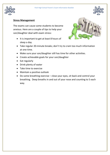



## Stress Management

The exams can cause some students to become anxious. Here are a couple of tips to help your son/daughter deal with exam stress:

• It is important to get at least 8 hours of sleep a day.



- Take regular 20-minute breaks; don't try to cram too much information at one time.
- Make sure your son/daughter still has time for other activities.
- Create achievable goals for your son/daughter
- Eat regularly
- Drink plenty of water
- Take time to exercise
- Maintain a positive outlook
- Do some breathing exercise close your eyes, sit back and control your breathing. Deep breaths in and out of your nose and counting to 5 each way.